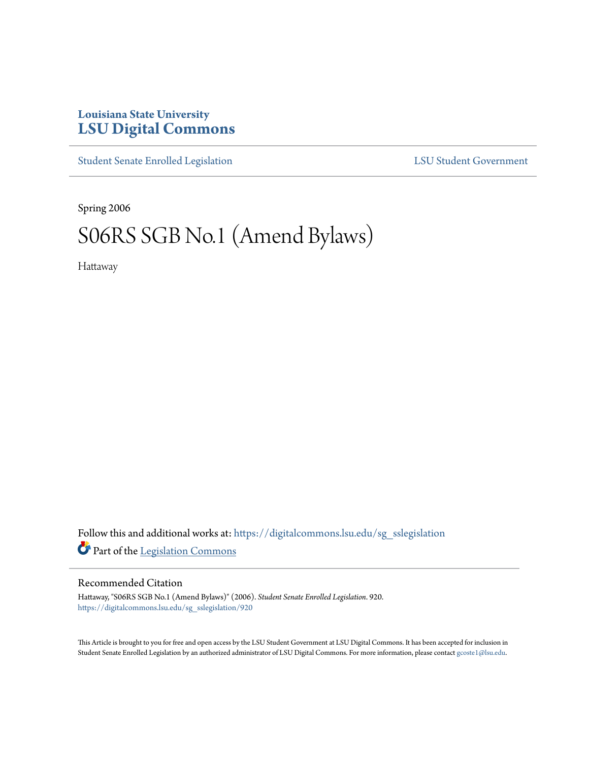# **Louisiana State University [LSU Digital Commons](https://digitalcommons.lsu.edu?utm_source=digitalcommons.lsu.edu%2Fsg_sslegislation%2F920&utm_medium=PDF&utm_campaign=PDFCoverPages)**

[Student Senate Enrolled Legislation](https://digitalcommons.lsu.edu/sg_sslegislation?utm_source=digitalcommons.lsu.edu%2Fsg_sslegislation%2F920&utm_medium=PDF&utm_campaign=PDFCoverPages) [LSU Student Government](https://digitalcommons.lsu.edu/sg?utm_source=digitalcommons.lsu.edu%2Fsg_sslegislation%2F920&utm_medium=PDF&utm_campaign=PDFCoverPages)

Spring 2006

# S06RS SGB No.1 (Amend Bylaws)

Hattaway

Follow this and additional works at: [https://digitalcommons.lsu.edu/sg\\_sslegislation](https://digitalcommons.lsu.edu/sg_sslegislation?utm_source=digitalcommons.lsu.edu%2Fsg_sslegislation%2F920&utm_medium=PDF&utm_campaign=PDFCoverPages) Part of the [Legislation Commons](http://network.bepress.com/hgg/discipline/859?utm_source=digitalcommons.lsu.edu%2Fsg_sslegislation%2F920&utm_medium=PDF&utm_campaign=PDFCoverPages)

# Recommended Citation

Hattaway, "S06RS SGB No.1 (Amend Bylaws)" (2006). *Student Senate Enrolled Legislation*. 920. [https://digitalcommons.lsu.edu/sg\\_sslegislation/920](https://digitalcommons.lsu.edu/sg_sslegislation/920?utm_source=digitalcommons.lsu.edu%2Fsg_sslegislation%2F920&utm_medium=PDF&utm_campaign=PDFCoverPages)

This Article is brought to you for free and open access by the LSU Student Government at LSU Digital Commons. It has been accepted for inclusion in Student Senate Enrolled Legislation by an authorized administrator of LSU Digital Commons. For more information, please contact [gcoste1@lsu.edu.](mailto:gcoste1@lsu.edu)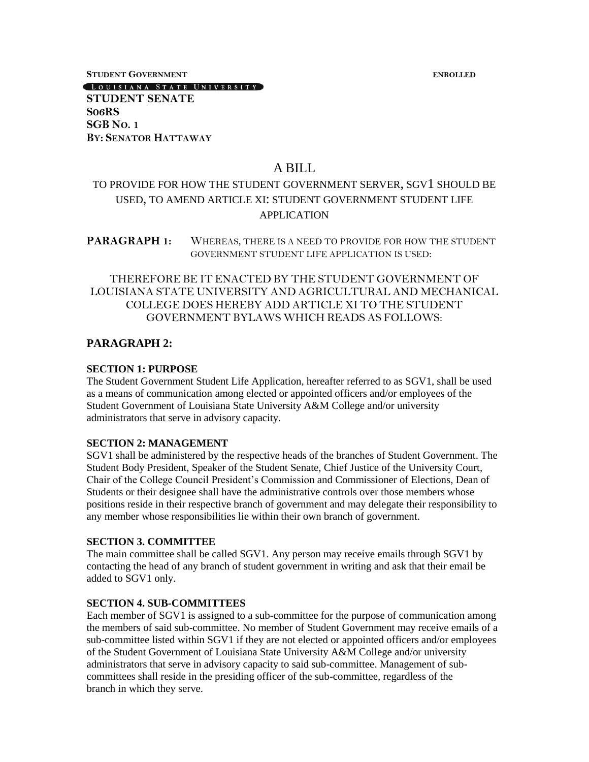**STUDENT GOVERNMENT ENROLLED**

**STUDENT SENATE S06RS SGB NO. 1 BY: SENATOR HATTAWAY**

[LOUISIANA STATE UNIVERSITY]

# A BILL

# TO PROVIDE FOR HOW THE STUDENT GOVERNMENT SERVER, SGV1 SHOULD BE USED, TO AMEND ARTICLE XI: STUDENT GOVERNMENT STUDENT LIFE APPLICATION

**PARAGRAPH 1:** WHEREAS, THERE IS A NEED TO PROVIDE FOR HOW THE STUDENT GOVERNMENT STUDENT LIFE APPLICATION IS USED:

# THEREFORE BE IT ENACTED BY THE STUDENT GOVERNMENT OF LOUISIANA STATE UNIVERSITY AND AGRICULTURAL AND MECHANICAL COLLEGE DOES HEREBY ADD ARTICLE XI TO THE STUDENT GOVERNMENT BYLAWS WHICH READS AS FOLLOWS:

# **PARAGRAPH 2:**

#### **SECTION 1: PURPOSE**

The Student Government Student Life Application, hereafter referred to as SGV1, shall be used as a means of communication among elected or appointed officers and/or employees of the Student Government of Louisiana State University A&M College and/or university administrators that serve in advisory capacity.

## **SECTION 2: MANAGEMENT**

SGV1 shall be administered by the respective heads of the branches of Student Government. The Student Body President, Speaker of the Student Senate, Chief Justice of the University Court, Chair of the College Council President's Commission and Commissioner of Elections, Dean of Students or their designee shall have the administrative controls over those members whose positions reside in their respective branch of government and may delegate their responsibility to any member whose responsibilities lie within their own branch of government.

# **SECTION 3. COMMITTEE**

The main committee shall be called SGV1. Any person may receive emails through SGV1 by contacting the head of any branch of student government in writing and ask that their email be added to SGV1 only.

## **SECTION 4. SUB-COMMITTEES**

Each member of SGV1 is assigned to a sub-committee for the purpose of communication among the members of said sub-committee. No member of Student Government may receive emails of a sub-committee listed within SGV1 if they are not elected or appointed officers and/or employees of the Student Government of Louisiana State University A&M College and/or university administrators that serve in advisory capacity to said sub-committee. Management of subcommittees shall reside in the presiding officer of the sub-committee, regardless of the branch in which they serve.